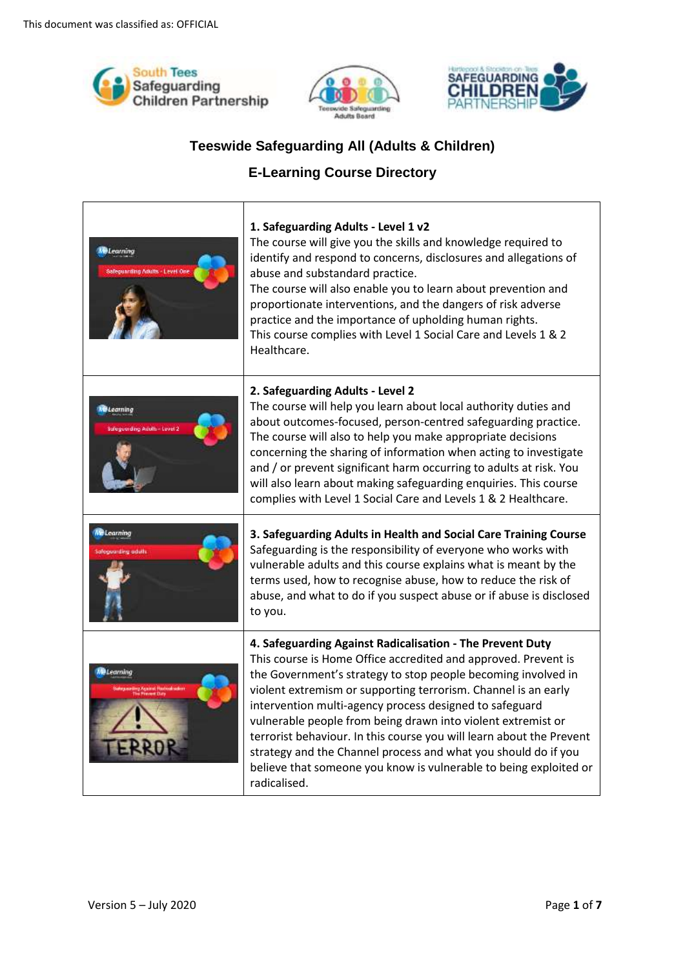





## **Teeswide Safeguarding All (Adults & Children)**

## **E-Learning Course Directory**

| <b>Me Learning</b><br>Safeguarding Adults - Level On | 1. Safeguarding Adults - Level 1 v2<br>The course will give you the skills and knowledge required to<br>identify and respond to concerns, disclosures and allegations of<br>abuse and substandard practice.<br>The course will also enable you to learn about prevention and<br>proportionate interventions, and the dangers of risk adverse<br>practice and the importance of upholding human rights.<br>This course complies with Level 1 Social Care and Levels 1 & 2<br>Healthcare.                                                                                                                                  |
|------------------------------------------------------|--------------------------------------------------------------------------------------------------------------------------------------------------------------------------------------------------------------------------------------------------------------------------------------------------------------------------------------------------------------------------------------------------------------------------------------------------------------------------------------------------------------------------------------------------------------------------------------------------------------------------|
| <i><b>ELearning</b></i><br>arding Adolfs - Level:    | 2. Safeguarding Adults - Level 2<br>The course will help you learn about local authority duties and<br>about outcomes-focused, person-centred safeguarding practice.<br>The course will also to help you make appropriate decisions<br>concerning the sharing of information when acting to investigate<br>and / or prevent significant harm occurring to adults at risk. You<br>will also learn about making safeguarding enquiries. This course<br>complies with Level 1 Social Care and Levels 1 & 2 Healthcare.                                                                                                      |
| <b>E</b> Learning<br>ing adult.                      | 3. Safeguarding Adults in Health and Social Care Training Course<br>Safeguarding is the responsibility of everyone who works with<br>vulnerable adults and this course explains what is meant by the<br>terms used, how to recognise abuse, how to reduce the risk of<br>abuse, and what to do if you suspect abuse or if abuse is disclosed<br>to you.                                                                                                                                                                                                                                                                  |
| <b>Learning</b>                                      | 4. Safeguarding Against Radicalisation - The Prevent Duty<br>This course is Home Office accredited and approved. Prevent is<br>the Government's strategy to stop people becoming involved in<br>violent extremism or supporting terrorism. Channel is an early<br>intervention multi-agency process designed to safeguard<br>vulnerable people from being drawn into violent extremist or<br>terrorist behaviour. In this course you will learn about the Prevent<br>strategy and the Channel process and what you should do if you<br>believe that someone you know is vulnerable to being exploited or<br>radicalised. |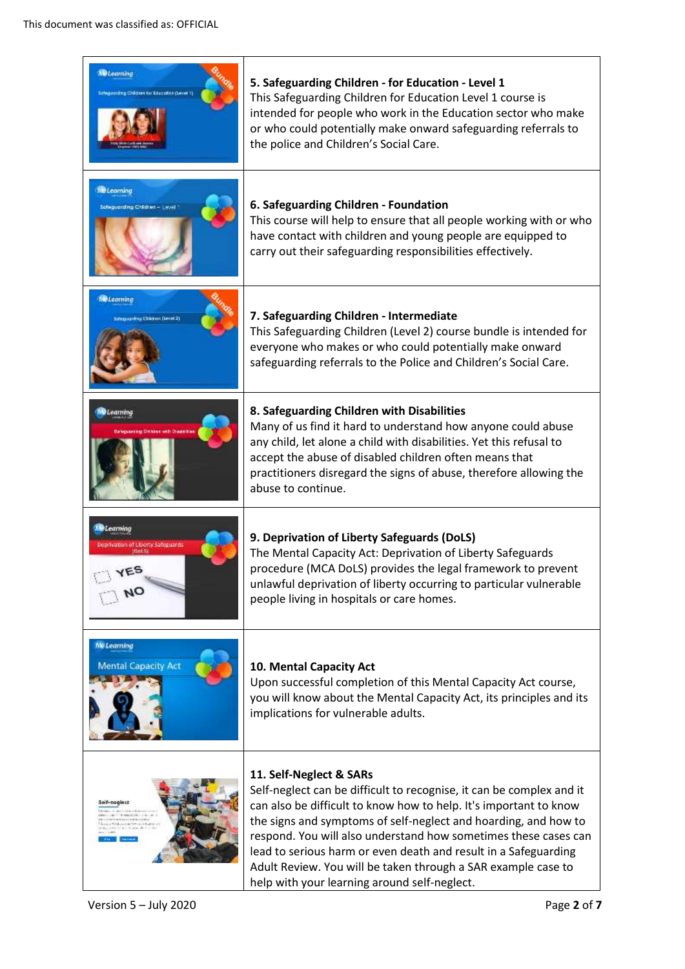| <b>Ne Learning</b><br>Schigscoding Children for Education (Level 1)     | 5. Safeguarding Children - for Education - Level 1<br>This Safeguarding Children for Education Level 1 course is<br>intended for people who work in the Education sector who make<br>or who could potentially make onward safeguarding referrals to<br>the police and Children's Social Care.                                                                                                                                                                                                  |
|-------------------------------------------------------------------------|------------------------------------------------------------------------------------------------------------------------------------------------------------------------------------------------------------------------------------------------------------------------------------------------------------------------------------------------------------------------------------------------------------------------------------------------------------------------------------------------|
| <b>Me Learning</b><br>Schepunding Children - Level                      | 6. Safeguarding Children - Foundation<br>This course will help to ensure that all people working with or who<br>have contact with children and young people are equipped to<br>carry out their safeguarding responsibilities effectively.                                                                                                                                                                                                                                                      |
| <b>Me Learning</b><br>eguarding Children (Level 2)                      | 7. Safeguarding Children - Intermediate<br>This Safeguarding Children (Level 2) course bundle is intended for<br>everyone who makes or who could potentially make onward<br>safeguarding referrals to the Police and Children's Social Care.                                                                                                                                                                                                                                                   |
| <b><i><u>Elearning</u></i></b>                                          | 8. Safeguarding Children with Disabilities<br>Many of us find it hard to understand how anyone could abuse<br>any child, let alone a child with disabilities. Yet this refusal to<br>accept the abuse of disabled children often means that<br>practitioners disregard the signs of abuse, therefore allowing the<br>abuse to continue.                                                                                                                                                        |
| <mark>Me</mark> Learning<br>Deprivation of Liberty Safeguards<br>[0a15] | 9. Deprivation of Liberty Safeguards (DoLS)<br>The Mental Capacity Act: Deprivation of Liberty Safeguards<br>procedure (MCA DoLS) provides the legal framework to prevent<br>unlawful deprivation of liberty occurring to particular vulnerable<br>people living in hospitals or care homes.                                                                                                                                                                                                   |
| <b>Me Learning</b><br><b>Mental Capacity Act</b>                        | 10. Mental Capacity Act<br>Upon successful completion of this Mental Capacity Act course,<br>you will know about the Mental Capacity Act, its principles and its<br>implications for vulnerable adults.                                                                                                                                                                                                                                                                                        |
| ielf-neglect                                                            | 11. Self-Neglect & SARs<br>Self-neglect can be difficult to recognise, it can be complex and it<br>can also be difficult to know how to help. It's important to know<br>the signs and symptoms of self-neglect and hoarding, and how to<br>respond. You will also understand how sometimes these cases can<br>lead to serious harm or even death and result in a Safeguarding<br>Adult Review. You will be taken through a SAR example case to<br>help with your learning around self-neglect. |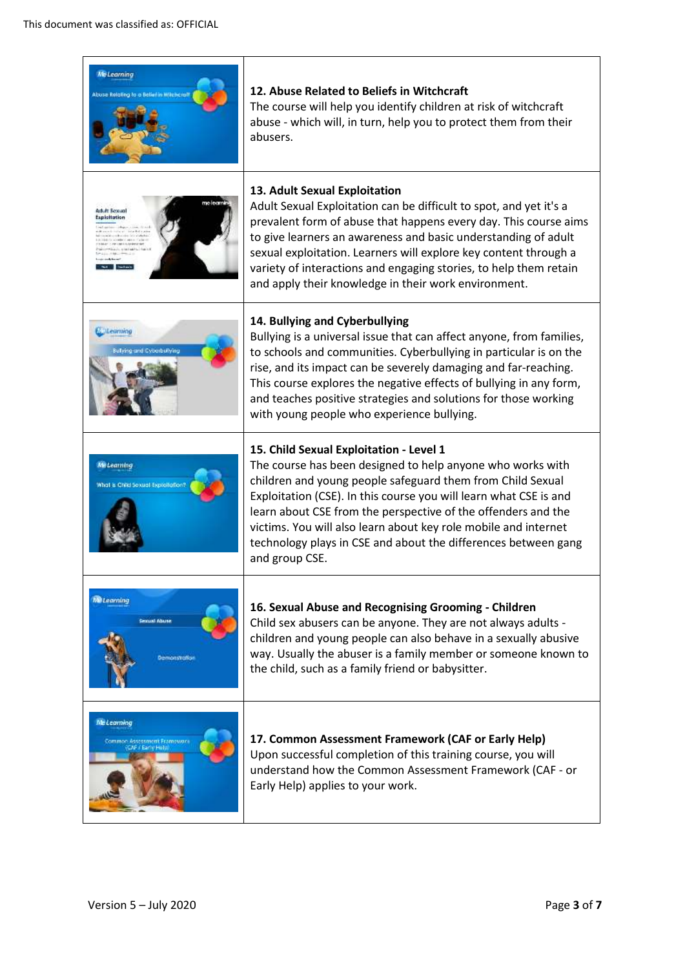| <b>Me Learning</b><br>Abuse Relating to a Belief in Witchcraf   | 12. Abuse Related to Beliefs in Witchcraft<br>The course will help you identify children at risk of witchcraft<br>abuse - which will, in turn, help you to protect them from their<br>abusers.                                                                                                                                                                                                                                                                   |
|-----------------------------------------------------------------|------------------------------------------------------------------------------------------------------------------------------------------------------------------------------------------------------------------------------------------------------------------------------------------------------------------------------------------------------------------------------------------------------------------------------------------------------------------|
| adult Scoug<br>Exploitation                                     | 13. Adult Sexual Exploitation<br>Adult Sexual Exploitation can be difficult to spot, and yet it's a<br>prevalent form of abuse that happens every day. This course aims<br>to give learners an awareness and basic understanding of adult<br>sexual exploitation. Learners will explore key content through a<br>variety of interactions and engaging stories, to help them retain<br>and apply their knowledge in their work environment.                       |
| <b>JLeurning</b><br>ulying and Cyberbullying                    | 14. Bullying and Cyberbullying<br>Bullying is a universal issue that can affect anyone, from families,<br>to schools and communities. Cyberbullying in particular is on the<br>rise, and its impact can be severely damaging and far-reaching.<br>This course explores the negative effects of bullying in any form,<br>and teaches positive strategies and solutions for those working<br>with young people who experience bullying.                            |
| Ma Learning<br>What is Child Sexual Explaitation?               | 15. Child Sexual Exploitation - Level 1<br>The course has been designed to help anyone who works with<br>children and young people safeguard them from Child Sexual<br>Exploitation (CSE). In this course you will learn what CSE is and<br>learn about CSE from the perspective of the offenders and the<br>victims. You will also learn about key role mobile and internet<br>technology plays in CSE and about the differences between gang<br>and group CSE. |
| <b>Millearning</b><br><b>Securi Abuse</b><br>Demonstration      | 16. Sexual Abuse and Recognising Grooming - Children<br>Child sex abusers can be anyone. They are not always adults -<br>children and young people can also behave in a sexually abusive<br>way. Usually the abuser is a family member or someone known to<br>the child, such as a family friend or babysitter.                                                                                                                                                  |
| Me Learning<br>Common Assessment Framework<br>CAF / Early Help) | 17. Common Assessment Framework (CAF or Early Help)<br>Upon successful completion of this training course, you will<br>understand how the Common Assessment Framework (CAF - or<br>Early Help) applies to your work.                                                                                                                                                                                                                                             |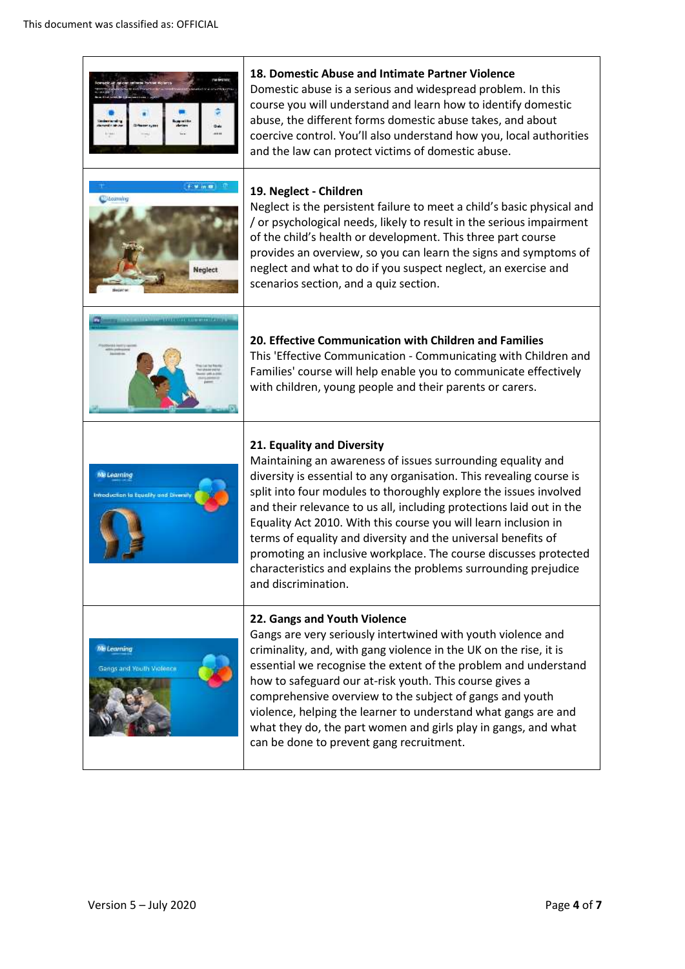|                                                             | 18. Domestic Abuse and Intimate Partner Violence<br>Domestic abuse is a serious and widespread problem. In this<br>course you will understand and learn how to identify domestic<br>abuse, the different forms domestic abuse takes, and about<br>coercive control. You'll also understand how you, local authorities<br>and the law can protect victims of domestic abuse.                                                                                                                                                                                                                                      |
|-------------------------------------------------------------|------------------------------------------------------------------------------------------------------------------------------------------------------------------------------------------------------------------------------------------------------------------------------------------------------------------------------------------------------------------------------------------------------------------------------------------------------------------------------------------------------------------------------------------------------------------------------------------------------------------|
| F.M. in III.<br>Substituting<br><b>Neglect</b>              | 19. Neglect - Children<br>Neglect is the persistent failure to meet a child's basic physical and<br>/ or psychological needs, likely to result in the serious impairment<br>of the child's health or development. This three part course<br>provides an overview, so you can learn the signs and symptoms of<br>neglect and what to do if you suspect neglect, an exercise and<br>scenarios section, and a quiz section.                                                                                                                                                                                         |
|                                                             | 20. Effective Communication with Children and Families<br>This 'Effective Communication - Communicating with Children and<br>Families' course will help enable you to communicate effectively<br>with children, young people and their parents or carers.                                                                                                                                                                                                                                                                                                                                                        |
| <b>Me Learning</b><br>Innoduction is Equality and Diversity | 21. Equality and Diversity<br>Maintaining an awareness of issues surrounding equality and<br>diversity is essential to any organisation. This revealing course is<br>split into four modules to thoroughly explore the issues involved<br>and their relevance to us all, including protections laid out in the<br>Equality Act 2010. With this course you will learn inclusion in<br>terms of equality and diversity and the universal benefits of<br>promoting an inclusive workplace. The course discusses protected<br>characteristics and explains the problems surrounding prejudice<br>and discrimination. |
| Me Learning<br>Gangs and Youth Violence.                    | 22. Gangs and Youth Violence<br>Gangs are very seriously intertwined with youth violence and<br>criminality, and, with gang violence in the UK on the rise, it is<br>essential we recognise the extent of the problem and understand<br>how to safeguard our at-risk youth. This course gives a<br>comprehensive overview to the subject of gangs and youth<br>violence, helping the learner to understand what gangs are and<br>what they do, the part women and girls play in gangs, and what<br>can be done to prevent gang recruitment.                                                                      |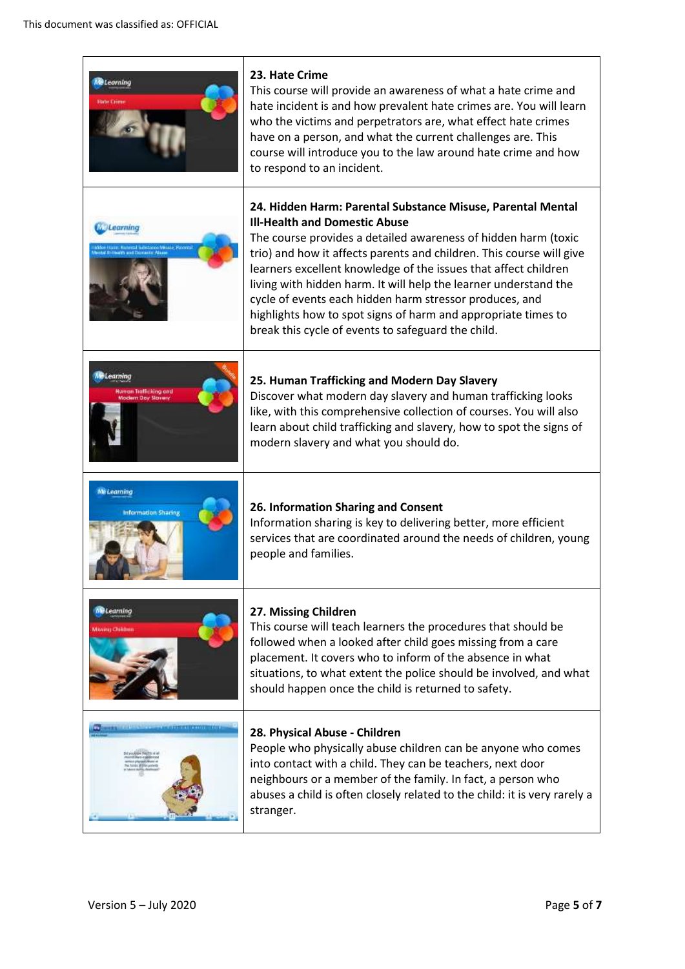| <i><b><i><u>Aleorning</u></i></b></i>               | 23. Hate Crime<br>This course will provide an awareness of what a hate crime and<br>hate incident is and how prevalent hate crimes are. You will learn<br>who the victims and perpetrators are, what effect hate crimes<br>have on a person, and what the current challenges are. This<br>course will introduce you to the law around hate crime and how<br>to respond to an incident.                                                                                                                                                                                 |
|-----------------------------------------------------|------------------------------------------------------------------------------------------------------------------------------------------------------------------------------------------------------------------------------------------------------------------------------------------------------------------------------------------------------------------------------------------------------------------------------------------------------------------------------------------------------------------------------------------------------------------------|
| Learning                                            | 24. Hidden Harm: Parental Substance Misuse, Parental Mental<br><b>Ill-Health and Domestic Abuse</b><br>The course provides a detailed awareness of hidden harm (toxic<br>trio) and how it affects parents and children. This course will give<br>learners excellent knowledge of the issues that affect children<br>living with hidden harm. It will help the learner understand the<br>cycle of events each hidden harm stressor produces, and<br>highlights how to spot signs of harm and appropriate times to<br>break this cycle of events to safeguard the child. |
| Learnina<br>wron Trafficking and<br>dem Day Slavery | 25. Human Trafficking and Modern Day Slavery<br>Discover what modern day slavery and human trafficking looks<br>like, with this comprehensive collection of courses. You will also<br>learn about child trafficking and slavery, how to spot the signs of<br>modern slavery and what you should do.                                                                                                                                                                                                                                                                    |
| <b>Me Learning</b><br>Information Sharing           | 26. Information Sharing and Consent<br>Information sharing is key to delivering better, more efficient<br>services that are coordinated around the needs of children, young<br>people and families.                                                                                                                                                                                                                                                                                                                                                                    |
| <b>Wi</b> tearning<br>ma Children                   | 27. Missing Children<br>This course will teach learners the procedures that should be<br>followed when a looked after child goes missing from a care<br>placement. It covers who to inform of the absence in what<br>situations, to what extent the police should be involved, and what<br>should happen once the child is returned to safety.                                                                                                                                                                                                                         |
|                                                     | 28. Physical Abuse - Children<br>People who physically abuse children can be anyone who comes<br>into contact with a child. They can be teachers, next door<br>neighbours or a member of the family. In fact, a person who<br>abuses a child is often closely related to the child: it is very rarely a<br>stranger.                                                                                                                                                                                                                                                   |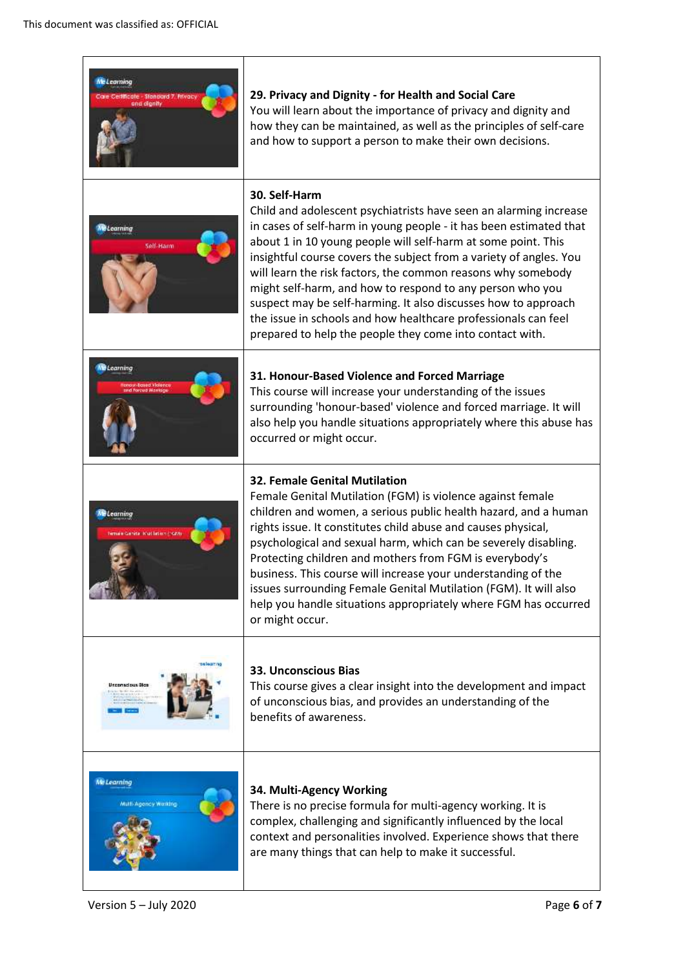| Me Learning<br>Hillcote - Standard 7, Privacy<br>ana dignity | 29. Privacy and Dignity - for Health and Social Care<br>You will learn about the importance of privacy and dignity and<br>how they can be maintained, as well as the principles of self-care<br>and how to support a person to make their own decisions.                                                                                                                                                                                                                                                                                                                                                                     |
|--------------------------------------------------------------|------------------------------------------------------------------------------------------------------------------------------------------------------------------------------------------------------------------------------------------------------------------------------------------------------------------------------------------------------------------------------------------------------------------------------------------------------------------------------------------------------------------------------------------------------------------------------------------------------------------------------|
| <b>We Learning</b><br>Self-Hann                              | 30. Self-Harm<br>Child and adolescent psychiatrists have seen an alarming increase<br>in cases of self-harm in young people - it has been estimated that<br>about 1 in 10 young people will self-harm at some point. This<br>insightful course covers the subject from a variety of angles. You<br>will learn the risk factors, the common reasons why somebody<br>might self-harm, and how to respond to any person who you<br>suspect may be self-harming. It also discusses how to approach<br>the issue in schools and how healthcare professionals can feel<br>prepared to help the people they come into contact with. |
| <b>W</b> Learning<br>» Cased Violence                        | 31. Honour-Based Violence and Forced Marriage<br>This course will increase your understanding of the issues<br>surrounding 'honour-based' violence and forced marriage. It will<br>also help you handle situations appropriately where this abuse has<br>occurred or might occur.                                                                                                                                                                                                                                                                                                                                            |
| <b>E</b> Learning                                            | <b>32. Female Genital Mutilation</b><br>Female Genital Mutilation (FGM) is violence against female<br>children and women, a serious public health hazard, and a human<br>rights issue. It constitutes child abuse and causes physical,<br>psychological and sexual harm, which can be severely disabling.<br>Protecting children and mothers from FGM is everybody's<br>business. This course will increase your understanding of the<br>issues surrounding Female Genital Mutilation (FGM). It will also<br>help you handle situations appropriately where FGM has occurred<br>or might occur.                              |
| Ungarnacious Blos                                            | 33. Unconscious Bias<br>This course gives a clear insight into the development and impact<br>of unconscious bias, and provides an understanding of the<br>benefits of awareness.                                                                                                                                                                                                                                                                                                                                                                                                                                             |
| Me Learning<br>Mulli Agency Working                          | 34. Multi-Agency Working<br>There is no precise formula for multi-agency working. It is<br>complex, challenging and significantly influenced by the local<br>context and personalities involved. Experience shows that there<br>are many things that can help to make it successful.                                                                                                                                                                                                                                                                                                                                         |